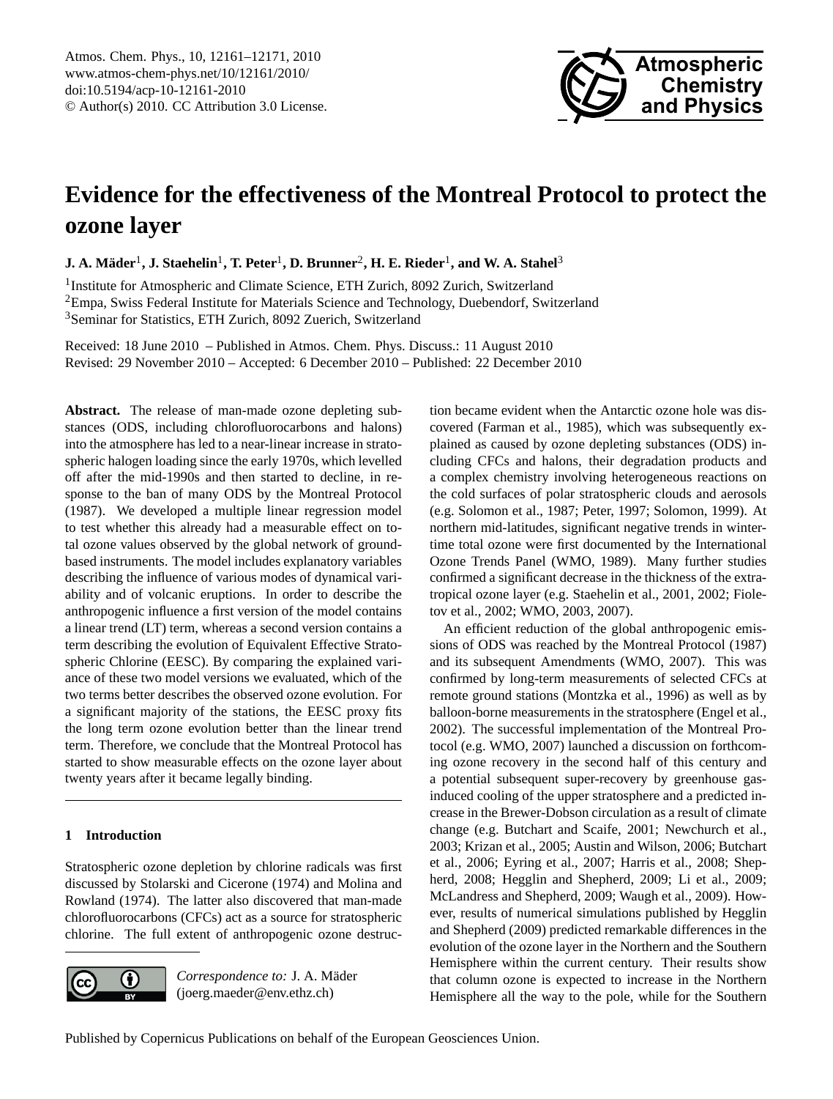

# <span id="page-0-0"></span>**Evidence for the effectiveness of the Montreal Protocol to protect the ozone layer**

 ${\bf J.~A.~M\"{a}der}^1, {\bf J.~Staehelin}^1, {\bf T.~Peter}^1, {\bf D.~Brunner}^2, {\bf H.~E.~Rieder}^1, {\bf and~W.~A.~Stahel}^3$ 

<sup>1</sup>Institute for Atmospheric and Climate Science, ETH Zurich, 8092 Zurich, Switzerland <sup>2</sup>Empa, Swiss Federal Institute for Materials Science and Technology, Duebendorf, Switzerland <sup>3</sup>Seminar for Statistics, ETH Zurich, 8092 Zuerich, Switzerland

Received: 18 June 2010 – Published in Atmos. Chem. Phys. Discuss.: 11 August 2010 Revised: 29 November 2010 – Accepted: 6 December 2010 – Published: 22 December 2010

**Abstract.** The release of man-made ozone depleting substances (ODS, including chlorofluorocarbons and halons) into the atmosphere has led to a near-linear increase in stratospheric halogen loading since the early 1970s, which levelled off after the mid-1990s and then started to decline, in response to the ban of many ODS by the Montreal Protocol (1987). We developed a multiple linear regression model to test whether this already had a measurable effect on total ozone values observed by the global network of groundbased instruments. The model includes explanatory variables describing the influence of various modes of dynamical variability and of volcanic eruptions. In order to describe the anthropogenic influence a first version of the model contains a linear trend (LT) term, whereas a second version contains a term describing the evolution of Equivalent Effective Stratospheric Chlorine (EESC). By comparing the explained variance of these two model versions we evaluated, which of the two terms better describes the observed ozone evolution. For a significant majority of the stations, the EESC proxy fits the long term ozone evolution better than the linear trend term. Therefore, we conclude that the Montreal Protocol has started to show measurable effects on the ozone layer about twenty years after it became legally binding.

# **1 Introduction**

Stratospheric ozone depletion by chlorine radicals was first discussed by Stolarski and Cicerone (1974) and Molina and Rowland (1974). The latter also discovered that man-made chlorofluorocarbons (CFCs) act as a source for stratospheric chlorine. The full extent of anthropogenic ozone destruc-



*Correspondence to:* J. A. Mader ¨ (joerg.maeder@env.ethz.ch)

tion became evident when the Antarctic ozone hole was discovered (Farman et al., 1985), which was subsequently explained as caused by ozone depleting substances (ODS) including CFCs and halons, their degradation products and a complex chemistry involving heterogeneous reactions on the cold surfaces of polar stratospheric clouds and aerosols (e.g. Solomon et al., 1987; Peter, 1997; Solomon, 1999). At northern mid-latitudes, significant negative trends in wintertime total ozone were first documented by the International Ozone Trends Panel (WMO, 1989). Many further studies confirmed a significant decrease in the thickness of the extratropical ozone layer (e.g. Staehelin et al., 2001, 2002; Fioletov et al., 2002; WMO, 2003, 2007).

An efficient reduction of the global anthropogenic emissions of ODS was reached by the Montreal Protocol (1987) and its subsequent Amendments (WMO, 2007). This was confirmed by long-term measurements of selected CFCs at remote ground stations (Montzka et al., 1996) as well as by balloon-borne measurements in the stratosphere (Engel et al., 2002). The successful implementation of the Montreal Protocol (e.g. WMO, 2007) launched a discussion on forthcoming ozone recovery in the second half of this century and a potential subsequent super-recovery by greenhouse gasinduced cooling of the upper stratosphere and a predicted increase in the Brewer-Dobson circulation as a result of climate change (e.g. Butchart and Scaife, 2001; Newchurch et al., 2003; Krizan et al., 2005; Austin and Wilson, 2006; Butchart et al., 2006; Eyring et al., 2007; Harris et al., 2008; Shepherd, 2008; Hegglin and Shepherd, 2009; Li et al., 2009; McLandress and Shepherd, 2009; Waugh et al., 2009). However, results of numerical simulations published by Hegglin and Shepherd (2009) predicted remarkable differences in the evolution of the ozone layer in the Northern and the Southern Hemisphere within the current century. Their results show that column ozone is expected to increase in the Northern Hemisphere all the way to the pole, while for the Southern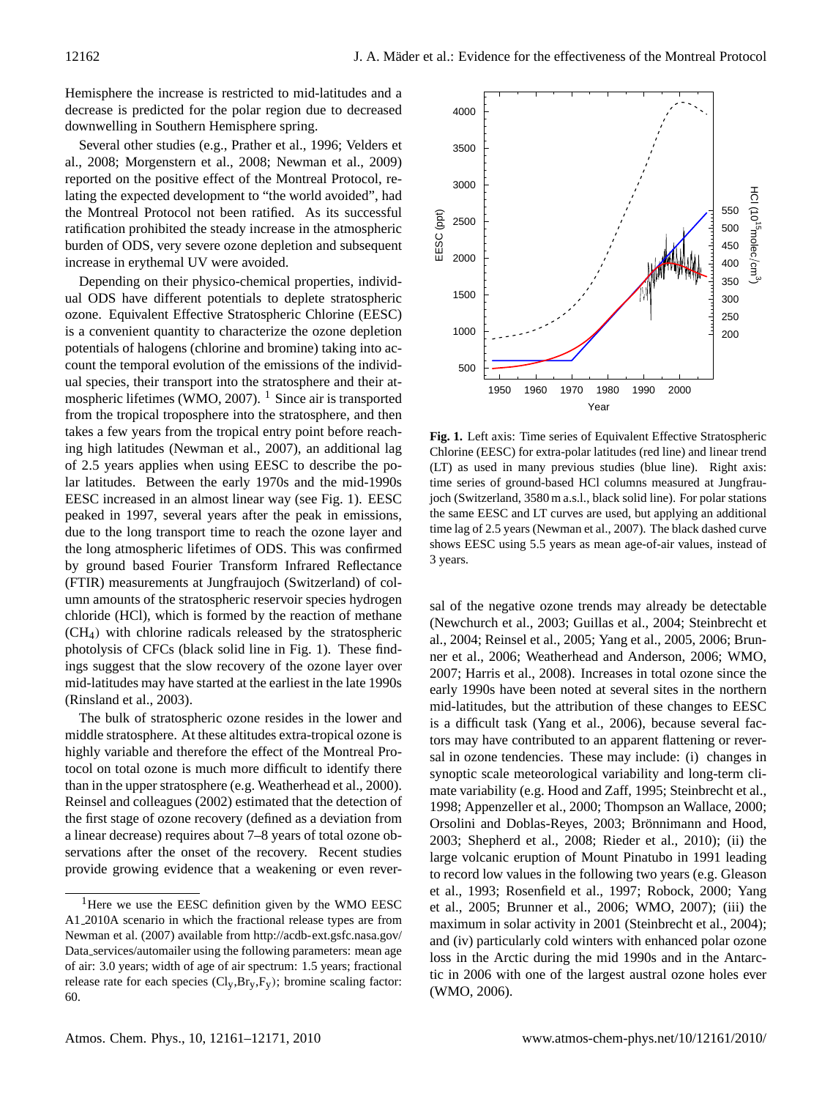Hemisphere the increase is restricted to mid-latitudes and a decrease is predicted for the polar region due to decreased downwelling in Southern Hemisphere spring.

Several other studies (e.g., Prather et al., 1996; Velders et al., 2008; Morgenstern et al., 2008; Newman et al., 2009) reported on the positive effect of the Montreal Protocol, relating the expected development to "the world avoided", had the Montreal Protocol not been ratified. As its successful ratification prohibited the steady increase in the atmospheric burden of ODS, very severe ozone depletion and subsequent increase in erythemal UV were avoided.

Depending on their physico-chemical properties, individual ODS have different potentials to deplete stratospheric ozone. Equivalent Effective Stratospheric Chlorine (EESC) is a convenient quantity to characterize the ozone depletion potentials of halogens (chlorine and bromine) taking into account the temporal evolution of the emissions of the individual species, their transport into the stratosphere and their at-mospheric lifetimes (WMO, 2007). <sup>[1](#page-1-0)</sup> Since air is transported from the tropical troposphere into the stratosphere, and then takes a few years from the tropical entry point before reaching high latitudes (Newman et al., 2007), an additional lag of 2.5 years applies when using EESC to describe the polar latitudes. Between the early 1970s and the mid-1990s EESC increased in an almost linear way (see Fig. 1). EESC peaked in 1997, several years after the peak in emissions, due to the long transport time to reach the ozone layer and the long atmospheric lifetimes of ODS. This was confirmed by ground based Fourier Transform Infrared Reflectance (FTIR) measurements at Jungfraujoch (Switzerland) of column amounts of the stratospheric reservoir species hydrogen chloride (HCl), which is formed by the reaction of methane (CH4) with chlorine radicals released by the stratospheric photolysis of CFCs (black solid line in Fig. 1). These findings suggest that the slow recovery of the ozone layer over mid-latitudes may have started at the earliest in the late 1990s (Rinsland et al., 2003).

The bulk of stratospheric ozone resides in the lower and middle stratosphere. At these altitudes extra-tropical ozone is highly variable and therefore the effect of the Montreal Protocol on total ozone is much more difficult to identify there than in the upper stratosphere (e.g. Weatherhead et al., 2000). Reinsel and colleagues (2002) estimated that the detection of the first stage of ozone recovery (defined as a deviation from a linear decrease) requires about 7–8 years of total ozone observations after the onset of the recovery. Recent studies provide growing evidence that a weakening or even rever-



**Fig. 1.** Left axis: Time series of Equivalent Effective Stratospheric Chlorine (EESC) for extra-polar latitudes (red line) and linear trend (LT) as used in many previous studies (blue line). Right axis: time series of ground-based HCl columns measured at Jungfraujoch (Switzerland, 3580 m a.s.l., black solid line). For polar stations the same EESC and LT curves are used, but applying an additional time lag of 2.5 years (Newman et al., 2007). The black dashed curve shows EESC using 5.5 years as mean age-of-air values, instead of 3 years.

sal of the negative ozone trends may already be detectable (Newchurch et al., 2003; Guillas et al., 2004; Steinbrecht et al., 2004; Reinsel et al., 2005; Yang et al., 2005, 2006; Brunner et al., 2006; Weatherhead and Anderson, 2006; WMO, 2007; Harris et al., 2008). Increases in total ozone since the early 1990s have been noted at several sites in the northern mid-latitudes, but the attribution of these changes to EESC is a difficult task (Yang et al., 2006), because several factors may have contributed to an apparent flattening or reversal in ozone tendencies. These may include: (i) changes in synoptic scale meteorological variability and long-term climate variability (e.g. Hood and Zaff, 1995; Steinbrecht et al., 1998; Appenzeller et al., 2000; Thompson an Wallace, 2000; Orsolini and Doblas-Reyes, 2003; Brönnimann and Hood, 2003; Shepherd et al., 2008; Rieder et al., 2010); (ii) the large volcanic eruption of Mount Pinatubo in 1991 leading to record low values in the following two years (e.g. Gleason et al., 1993; Rosenfield et al., 1997; Robock, 2000; Yang et al., 2005; Brunner et al., 2006; WMO, 2007); (iii) the maximum in solar activity in 2001 (Steinbrecht et al., 2004); and (iv) particularly cold winters with enhanced polar ozone loss in the Arctic during the mid 1990s and in the Antarctic in 2006 with one of the largest austral ozone holes ever (WMO, 2006).

<span id="page-1-0"></span> $1$ Here we use the EESC definition given by the WMO EESC A1 2010A scenario in which the fractional release types are from Newman et al. (2007) available from [http://acdb-ext.gsfc.nasa.gov/](http://acdb-ext.gsfc.nasa.gov/Data_services/automailer) Data [services/automailer](http://acdb-ext.gsfc.nasa.gov/Data_services/automailer) using the following parameters: mean age of air: 3.0 years; width of age of air spectrum: 1.5 years; fractional release rate for each species  $(Cl<sub>y</sub>, Br<sub>y</sub>, F<sub>y</sub>)$ ; bromine scaling factor: 60.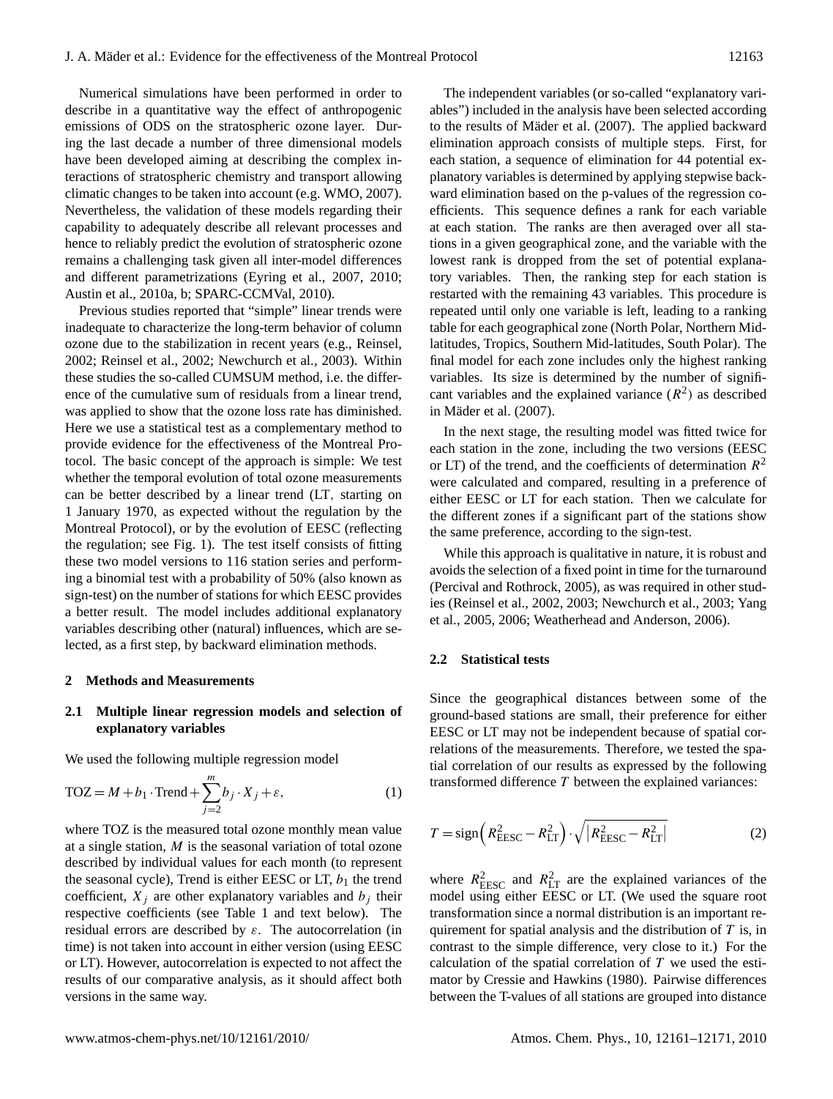Numerical simulations have been performed in order to describe in a quantitative way the effect of anthropogenic emissions of ODS on the stratospheric ozone layer. During the last decade a number of three dimensional models have been developed aiming at describing the complex interactions of stratospheric chemistry and transport allowing climatic changes to be taken into account (e.g. WMO, 2007). Nevertheless, the validation of these models regarding their capability to adequately describe all relevant processes and hence to reliably predict the evolution of stratospheric ozone remains a challenging task given all inter-model differences and different parametrizations (Eyring et al., 2007, 2010; Austin et al., 2010a, b; SPARC-CCMVal, 2010).

Previous studies reported that "simple" linear trends were inadequate to characterize the long-term behavior of column ozone due to the stabilization in recent years (e.g., Reinsel, 2002; Reinsel et al., 2002; Newchurch et al., 2003). Within these studies the so-called CUMSUM method, i.e. the difference of the cumulative sum of residuals from a linear trend, was applied to show that the ozone loss rate has diminished. Here we use a statistical test as a complementary method to provide evidence for the effectiveness of the Montreal Protocol. The basic concept of the approach is simple: We test whether the temporal evolution of total ozone measurements can be better described by a linear trend (LT, starting on 1 January 1970, as expected without the regulation by the Montreal Protocol), or by the evolution of EESC (reflecting the regulation; see Fig. 1). The test itself consists of fitting these two model versions to 116 station series and performing a binomial test with a probability of 50% (also known as sign-test) on the number of stations for which EESC provides a better result. The model includes additional explanatory variables describing other (natural) influences, which are selected, as a first step, by backward elimination methods.

#### **2 Methods and Measurements**

## **2.1 Multiple linear regression models and selection of explanatory variables**

We used the following multiple regression model

$$
TOZ = M + b_1 \cdot \text{Trend} + \sum_{j=2}^{m} b_j \cdot X_j + \varepsilon,\tag{1}
$$

where TOZ is the measured total ozone monthly mean value at a single station,  $M$  is the seasonal variation of total ozone described by individual values for each month (to represent the seasonal cycle), Trend is either EESC or LT,  $b_1$  the trend coefficient,  $X_i$  are other explanatory variables and  $b_i$  their respective coefficients (see Table 1 and text below). The residual errors are described by  $\varepsilon$ . The autocorrelation (in time) is not taken into account in either version (using EESC or LT). However, autocorrelation is expected to not affect the results of our comparative analysis, as it should affect both versions in the same way.

The independent variables (or so-called "explanatory variables") included in the analysis have been selected according to the results of Mäder et al. (2007). The applied backward elimination approach consists of multiple steps. First, for each station, a sequence of elimination for 44 potential explanatory variables is determined by applying stepwise backward elimination based on the p-values of the regression coefficients. This sequence defines a rank for each variable at each station. The ranks are then averaged over all stations in a given geographical zone, and the variable with the lowest rank is dropped from the set of potential explanatory variables. Then, the ranking step for each station is restarted with the remaining 43 variables. This procedure is repeated until only one variable is left, leading to a ranking table for each geographical zone (North Polar, Northern Midlatitudes, Tropics, Southern Mid-latitudes, South Polar). The final model for each zone includes only the highest ranking variables. Its size is determined by the number of significant variables and the explained variance  $(R^2)$  as described in Mäder et al. (2007).

In the next stage, the resulting model was fitted twice for each station in the zone, including the two versions (EESC or LT) of the trend, and the coefficients of determination  $R^2$ were calculated and compared, resulting in a preference of either EESC or LT for each station. Then we calculate for the different zones if a significant part of the stations show the same preference, according to the sign-test.

While this approach is qualitative in nature, it is robust and avoids the selection of a fixed point in time for the turnaround (Percival and Rothrock, 2005), as was required in other studies (Reinsel et al., 2002, 2003; Newchurch et al., 2003; Yang et al., 2005, 2006; Weatherhead and Anderson, 2006).

#### **2.2 Statistical tests**

Since the geographical distances between some of the ground-based stations are small, their preference for either EESC or LT may not be independent because of spatial correlations of the measurements. Therefore, we tested the spatial correlation of our results as expressed by the following transformed difference  $T$  between the explained variances:

$$
T = sign\left(R_{\text{EESC}}^2 - R_{\text{LT}}^2\right) \cdot \sqrt{\left(R_{\text{EESC}}^2 - R_{\text{LT}}^2\right)}
$$
(2)

where  $R_{\text{EESC}}^2$  and  $R_{\text{LT}}^2$  are the explained variances of the model using either EESC or LT. (We used the square root transformation since a normal distribution is an important requirement for spatial analysis and the distribution of  $T$  is, in contrast to the simple difference, very close to it.) For the calculation of the spatial correlation of  $T$  we used the estimator by Cressie and Hawkins (1980). Pairwise differences between the T-values of all stations are grouped into distance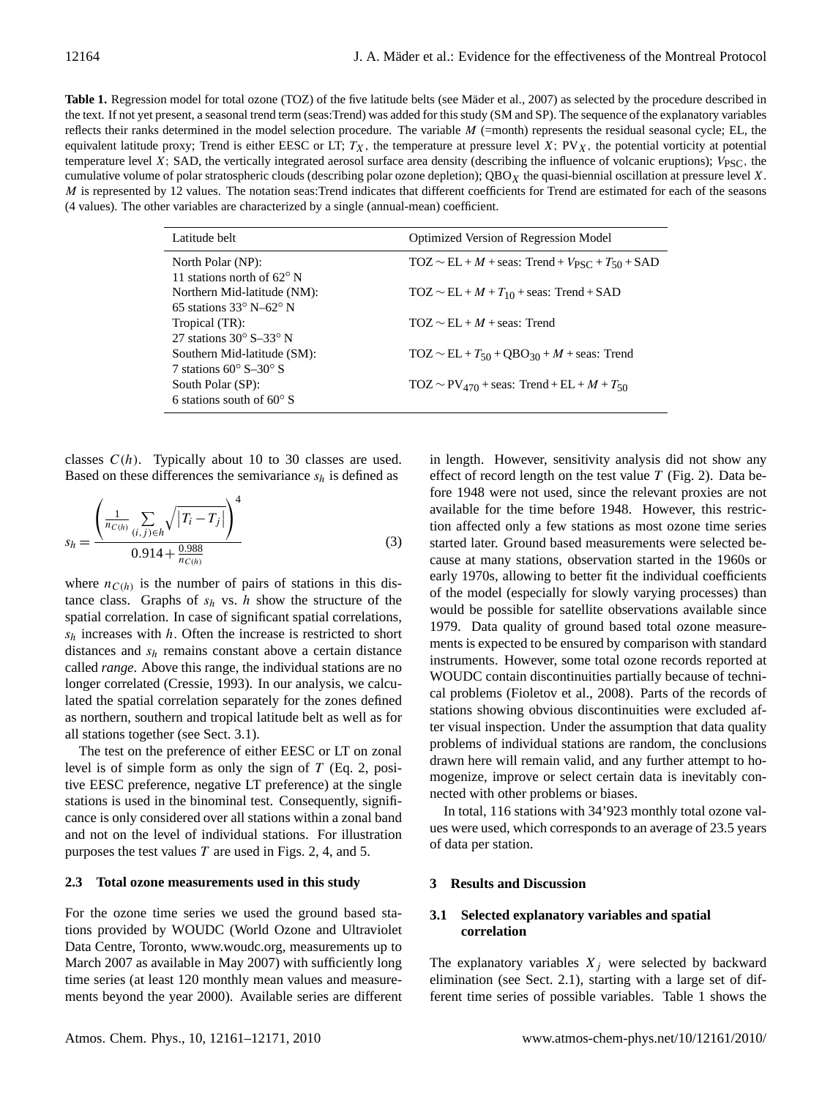Table 1. Regression model for total ozone (TOZ) of the five latitude belts (see Mäder et al., 2007) as selected by the procedure described in the text. If not yet present, a seasonal trend term (seas:Trend) was added for this study (SM and SP). The sequence of the explanatory variables reflects their ranks determined in the model selection procedure. The variable  $M$  (=month) represents the residual seasonal cycle; EL, the equivalent latitude proxy; Trend is either EESC or LT;  $T_X$ , the temperature at pressure level X; PV<sub>X</sub>, the potential vorticity at potential temperature level X; SAD, the vertically integrated aerosol surface area density (describing the influence of volcanic eruptions);  $V_{PSC}$ , the cumulative volume of polar stratospheric clouds (describing polar ozone depletion);  $QBO<sub>X</sub>$  the quasi-biennial oscillation at pressure level X. M is represented by 12 values. The notation seas:Trend indicates that different coefficients for Trend are estimated for each of the seasons (4 values). The other variables are characterized by a single (annual-mean) coefficient.

| Latitude belt                                | <b>Optimized Version of Regression Model</b>                    |
|----------------------------------------------|-----------------------------------------------------------------|
| North Polar (NP):                            | $TOZ \sim EL + M + \text{seas: Trend} + V_{PSC} + T_{50} + SAD$ |
| 11 stations north of $62^{\circ}$ N          |                                                                 |
| Northern Mid-latitude (NM):                  | $TOZ \sim EL + M + T_{10} + \text{seas: Trend} + SAD$           |
| 65 stations $33^\circ$ N–62 $^\circ$ N       |                                                                 |
| Tropical (TR):                               | $TOZ \sim EI + M + \text{seas}$ : Trend                         |
| 27 stations $30^{\circ}$ S-33 <sup>o</sup> N |                                                                 |
| Southern Mid-latitude (SM):                  | $TOZ \sim EL + T_{50} + QBO_{30} + M + \text{seas}$ : Trend     |
| 7 stations $60^{\circ}$ S-30 $^{\circ}$ S    |                                                                 |
| South Polar (SP):                            | $TOZ \sim PV_{470}$ + seas: Trend + EL + M + T <sub>50</sub>    |
| 6 stations south of $60^{\circ}$ S           |                                                                 |

classes  $C(h)$ . Typically about 10 to 30 classes are used. Based on these differences the semivariance  $s_h$  is defined as

$$
s_h = \frac{\left(\frac{1}{n_{C(h)}} \sum_{(i,j)\in h} \sqrt{|T_i - T_j|}\right)^4}{0.914 + \frac{0.988}{n_{C(h)}}}
$$
(3)

where  $n_{C(h)}$  is the number of pairs of stations in this distance class. Graphs of  $s_h$  vs. h show the structure of the spatial correlation. In case of significant spatial correlations,  $s_h$  increases with h. Often the increase is restricted to short distances and  $s_h$  remains constant above a certain distance called *range*. Above this range, the individual stations are no longer correlated (Cressie, 1993). In our analysis, we calculated the spatial correlation separately for the zones defined as northern, southern and tropical latitude belt as well as for all stations together (see Sect. 3.1).

The test on the preference of either EESC or LT on zonal level is of simple form as only the sign of  $T$  (Eq. 2, positive EESC preference, negative LT preference) at the single stations is used in the binominal test. Consequently, significance is only considered over all stations within a zonal band and not on the level of individual stations. For illustration purposes the test values  $T$  are used in Figs. 2, 4, and 5.

## **2.3 Total ozone measurements used in this study**

For the ozone time series we used the ground based stations provided by WOUDC (World Ozone and Ultraviolet Data Centre, Toronto, www.woudc.org, measurements up to March 2007 as available in May 2007) with sufficiently long time series (at least 120 monthly mean values and measurements beyond the year 2000). Available series are different in length. However, sensitivity analysis did not show any effect of record length on the test value  $T$  (Fig. 2). Data before 1948 were not used, since the relevant proxies are not available for the time before 1948. However, this restriction affected only a few stations as most ozone time series started later. Ground based measurements were selected because at many stations, observation started in the 1960s or early 1970s, allowing to better fit the individual coefficients of the model (especially for slowly varying processes) than would be possible for satellite observations available since 1979. Data quality of ground based total ozone measurements is expected to be ensured by comparison with standard instruments. However, some total ozone records reported at WOUDC contain discontinuities partially because of technical problems (Fioletov et al., 2008). Parts of the records of stations showing obvious discontinuities were excluded after visual inspection. Under the assumption that data quality problems of individual stations are random, the conclusions drawn here will remain valid, and any further attempt to homogenize, improve or select certain data is inevitably connected with other problems or biases.

In total, 116 stations with 34'923 monthly total ozone values were used, which corresponds to an average of 23.5 years of data per station.

## **3 Results and Discussion**

## **3.1 Selected explanatory variables and spatial correlation**

The explanatory variables  $X_j$  were selected by backward elimination (see Sect. 2.1), starting with a large set of different time series of possible variables. Table 1 shows the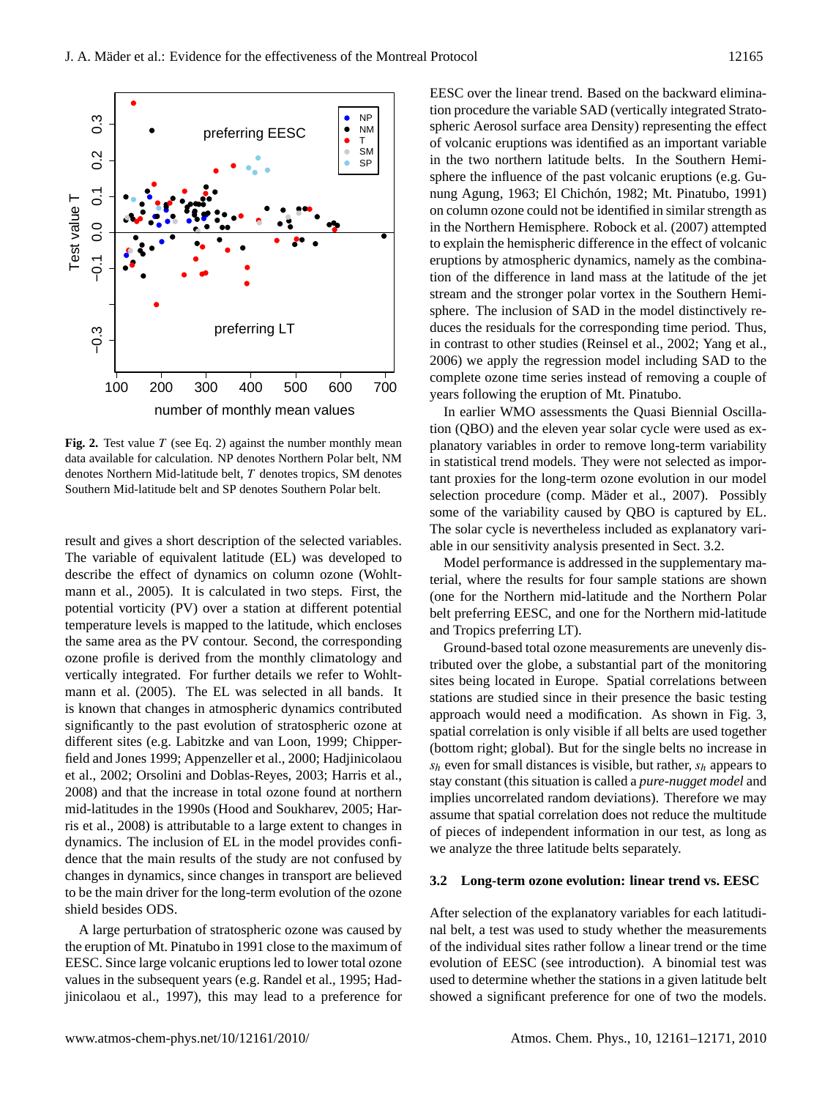

**Fig. 2.** Test value  $T$  (see Eq. 2) against the number monthly mean data available for calculation. NP denotes Northern Polar belt, NM denotes Northern Mid-latitude belt, T denotes tropics, SM denotes Southern Mid-latitude belt and SP denotes Southern Polar belt.

result and gives a short description of the selected variables. The variable of equivalent latitude (EL) was developed to describe the effect of dynamics on column ozone (Wohltmann et al., 2005). It is calculated in two steps. First, the potential vorticity (PV) over a station at different potential temperature levels is mapped to the latitude, which encloses the same area as the PV contour. Second, the corresponding ozone profile is derived from the monthly climatology and vertically integrated. For further details we refer to Wohltmann et al. (2005). The EL was selected in all bands. It is known that changes in atmospheric dynamics contributed significantly to the past evolution of stratospheric ozone at different sites (e.g. Labitzke and van Loon, 1999; Chipperfield and Jones 1999; Appenzeller et al., 2000; Hadjinicolaou et al., 2002; Orsolini and Doblas-Reyes, 2003; Harris et al., 2008) and that the increase in total ozone found at northern mid-latitudes in the 1990s (Hood and Soukharev, 2005; Harris et al., 2008) is attributable to a large extent to changes in dynamics. The inclusion of EL in the model provides confidence that the main results of the study are not confused by changes in dynamics, since changes in transport are believed to be the main driver for the long-term evolution of the ozone shield besides ODS.

A large perturbation of stratospheric ozone was caused by the eruption of Mt. Pinatubo in 1991 close to the maximum of EESC. Since large volcanic eruptions led to lower total ozone values in the subsequent years (e.g. Randel et al., 1995; Hadjinicolaou et al., 1997), this may lead to a preference for EESC over the linear trend. Based on the backward elimination procedure the variable SAD (vertically integrated Stratospheric Aerosol surface area Density) representing the effect of volcanic eruptions was identified as an important variable in the two northern latitude belts. In the Southern Hemisphere the influence of the past volcanic eruptions (e.g. Gunung Agung, 1963; El Chichón, 1982; Mt. Pinatubo, 1991) on column ozone could not be identified in similar strength as in the Northern Hemisphere. Robock et al. (2007) attempted to explain the hemispheric difference in the effect of volcanic eruptions by atmospheric dynamics, namely as the combination of the difference in land mass at the latitude of the jet stream and the stronger polar vortex in the Southern Hemisphere. The inclusion of SAD in the model distinctively reduces the residuals for the corresponding time period. Thus, in contrast to other studies (Reinsel et al., 2002; Yang et al., 2006) we apply the regression model including SAD to the complete ozone time series instead of removing a couple of years following the eruption of Mt. Pinatubo.

In earlier WMO assessments the Quasi Biennial Oscillation (QBO) and the eleven year solar cycle were used as explanatory variables in order to remove long-term variability in statistical trend models. They were not selected as important proxies for the long-term ozone evolution in our model selection procedure (comp. Mäder et al., 2007). Possibly some of the variability caused by QBO is captured by EL. The solar cycle is nevertheless included as explanatory variable in our sensitivity analysis presented in Sect. 3.2.

Model performance is addressed in the supplementary material, where the results for four sample stations are shown (one for the Northern mid-latitude and the Northern Polar belt preferring EESC, and one for the Northern mid-latitude and Tropics preferring LT).

Ground-based total ozone measurements are unevenly distributed over the globe, a substantial part of the monitoring sites being located in Europe. Spatial correlations between stations are studied since in their presence the basic testing approach would need a modification. As shown in Fig. 3, spatial correlation is only visible if all belts are used together (bottom right; global). But for the single belts no increase in  $s_h$  even for small distances is visible, but rather,  $s_h$  appears to stay constant (this situation is called a *pure-nugget model* and implies uncorrelated random deviations). Therefore we may assume that spatial correlation does not reduce the multitude of pieces of independent information in our test, as long as we analyze the three latitude belts separately.

## **3.2 Long-term ozone evolution: linear trend vs. EESC**

After selection of the explanatory variables for each latitudinal belt, a test was used to study whether the measurements of the individual sites rather follow a linear trend or the time evolution of EESC (see introduction). A binomial test was used to determine whether the stations in a given latitude belt showed a significant preference for one of two the models.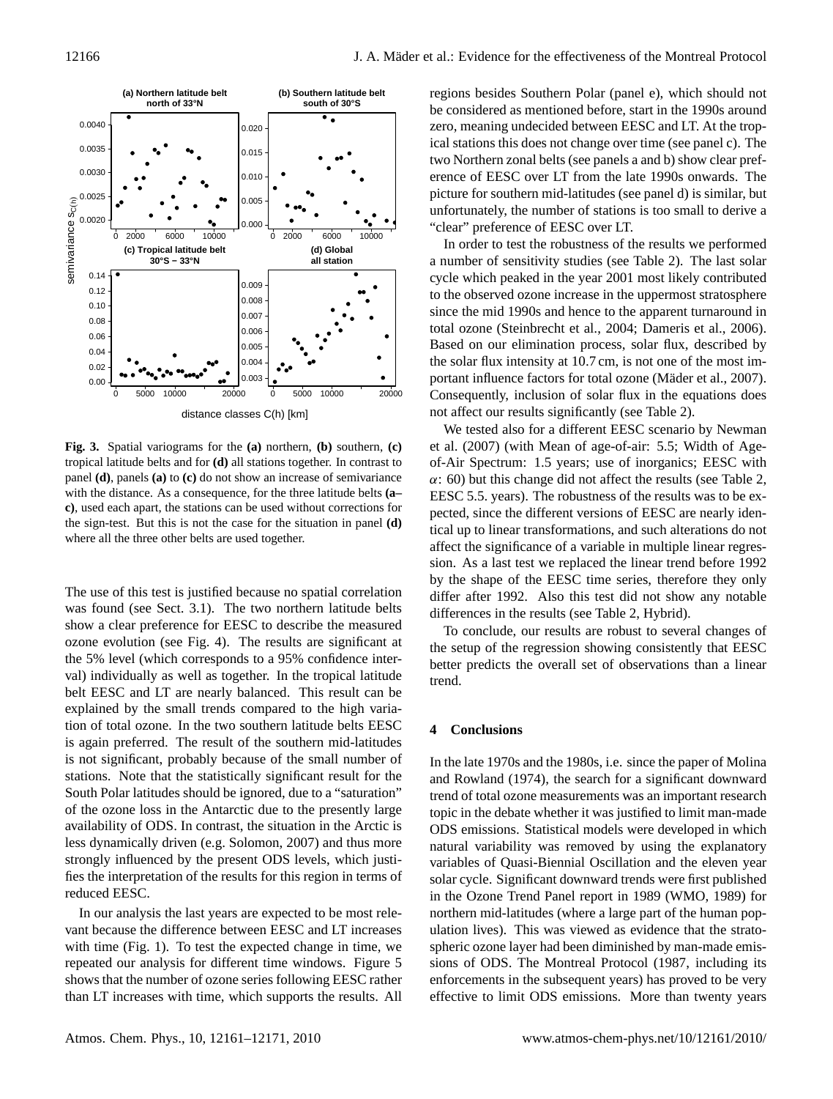

**Fig. 3.** Spatial variograms for the **(a)** northern, **(b)** southern, **(c)** tropical latitude belts and for **(d)** all stations together. In contrast to panel **(d)**, panels **(a)** to **(c)** do not show an increase of semivariance with the distance. As a consequence, for the three latitude belts **(a– c)**, used each apart, the stations can be used without corrections for the sign-test. But this is not the case for the situation in panel **(d)** where all the three other belts are used together.

The use of this test is justified because no spatial correlation was found (see Sect. 3.1). The two northern latitude belts show a clear preference for EESC to describe the measured ozone evolution (see Fig. 4). The results are significant at the 5% level (which corresponds to a 95% confidence interval) individually as well as together. In the tropical latitude belt EESC and LT are nearly balanced. This result can be explained by the small trends compared to the high variation of total ozone. In the two southern latitude belts EESC is again preferred. The result of the southern mid-latitudes is not significant, probably because of the small number of stations. Note that the statistically significant result for the South Polar latitudes should be ignored, due to a "saturation" of the ozone loss in the Antarctic due to the presently large availability of ODS. In contrast, the situation in the Arctic is less dynamically driven (e.g. Solomon, 2007) and thus more strongly influenced by the present ODS levels, which justifies the interpretation of the results for this region in terms of reduced EESC.

In our analysis the last years are expected to be most relevant because the difference between EESC and LT increases with time (Fig. 1). To test the expected change in time, we repeated our analysis for different time windows. Figure 5 shows that the number of ozone series following EESC rather than LT increases with time, which supports the results. All regions besides Southern Polar (panel e), which should not be considered as mentioned before, start in the 1990s around zero, meaning undecided between EESC and LT. At the tropical stations this does not change over time (see panel c). The two Northern zonal belts (see panels a and b) show clear preference of EESC over LT from the late 1990s onwards. The picture for southern mid-latitudes (see panel d) is similar, but unfortunately, the number of stations is too small to derive a "clear" preference of EESC over LT.

In order to test the robustness of the results we performed a number of sensitivity studies (see Table 2). The last solar cycle which peaked in the year 2001 most likely contributed to the observed ozone increase in the uppermost stratosphere since the mid 1990s and hence to the apparent turnaround in total ozone (Steinbrecht et al., 2004; Dameris et al., 2006). Based on our elimination process, solar flux, described by the solar flux intensity at 10.7 cm, is not one of the most important influence factors for total ozone (Mäder et al., 2007). Consequently, inclusion of solar flux in the equations does not affect our results significantly (see Table 2).

We tested also for a different EESC scenario by Newman et al. (2007) (with Mean of age-of-air: 5.5; Width of Ageof-Air Spectrum: 1.5 years; use of inorganics; EESC with  $\alpha$ : 60) but this change did not affect the results (see Table 2, EESC 5.5. years). The robustness of the results was to be expected, since the different versions of EESC are nearly identical up to linear transformations, and such alterations do not affect the significance of a variable in multiple linear regression. As a last test we replaced the linear trend before 1992 by the shape of the EESC time series, therefore they only differ after 1992. Also this test did not show any notable differences in the results (see Table 2, Hybrid).

To conclude, our results are robust to several changes of the setup of the regression showing consistently that EESC better predicts the overall set of observations than a linear trend.

#### **4 Conclusions**

In the late 1970s and the 1980s, i.e. since the paper of Molina and Rowland (1974), the search for a significant downward trend of total ozone measurements was an important research topic in the debate whether it was justified to limit man-made ODS emissions. Statistical models were developed in which natural variability was removed by using the explanatory variables of Quasi-Biennial Oscillation and the eleven year solar cycle. Significant downward trends were first published in the Ozone Trend Panel report in 1989 (WMO, 1989) for northern mid-latitudes (where a large part of the human population lives). This was viewed as evidence that the stratospheric ozone layer had been diminished by man-made emissions of ODS. The Montreal Protocol (1987, including its enforcements in the subsequent years) has proved to be very effective to limit ODS emissions. More than twenty years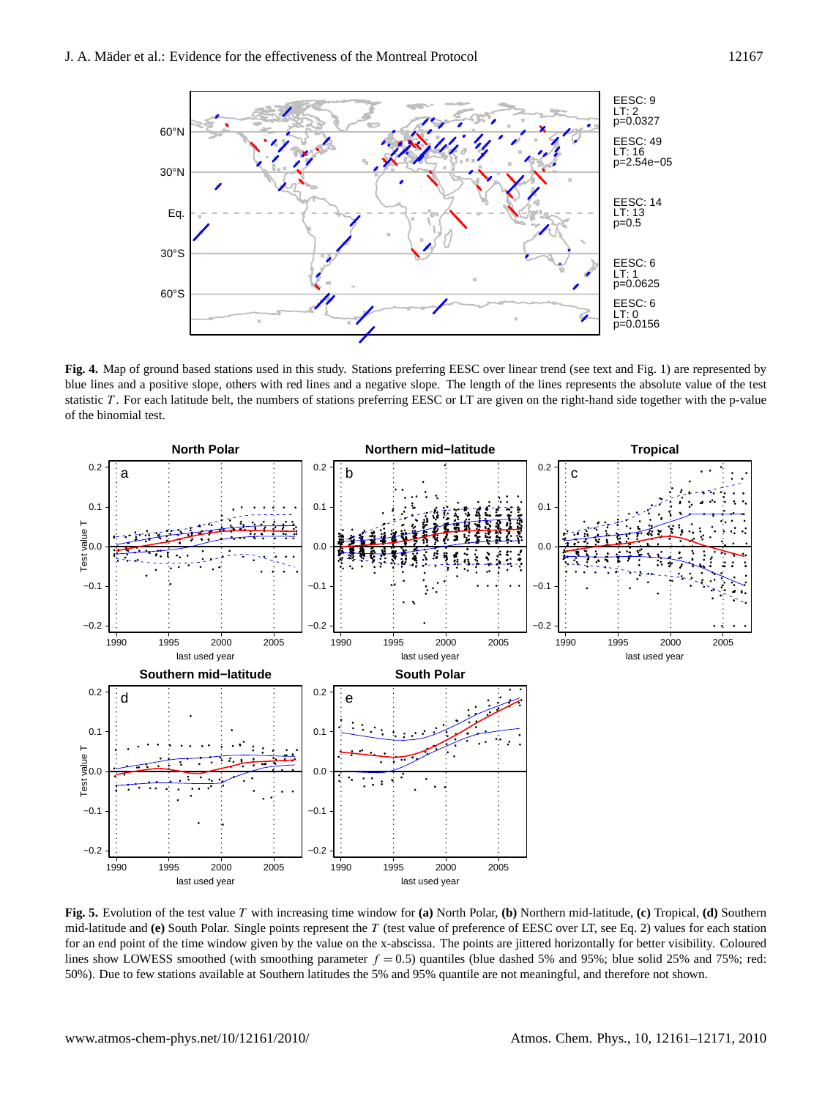

**Fig. 4.** Map of ground based stations used in this study. Stations preferring EESC over linear trend (see text and Fig. 1) are represented by blue lines and a positive slope, others with red lines and a negative slope. The length of the lines represents the absolute value of the test statistic T . For each latitude belt, the numbers of stations preferring EESC or LT are given on the right-hand side together with the p-value of the binomial test.



**Fig. 5.** Evolution of the test value T with increasing time window for **(a)** North Polar, **(b)** Northern mid-latitude, **(c)** Tropical, **(d)** Southern mid-latitude and **(e)** South Polar. Single points represent the T (test value of preference of EESC over LT, see Eq. 2) values for each station for an end point of the time window given by the value on the x-abscissa. The points are jittered horizontally for better visibility. Coloured lines show LOWESS smoothed (with smoothing parameter  $f = 0.5$ ) quantiles (blue dashed 5% and 95%; blue solid 25% and 75%; red: 50%). Due to few stations available at Southern latitudes the 5% and 95% quantile are not meaningful, and therefore not shown.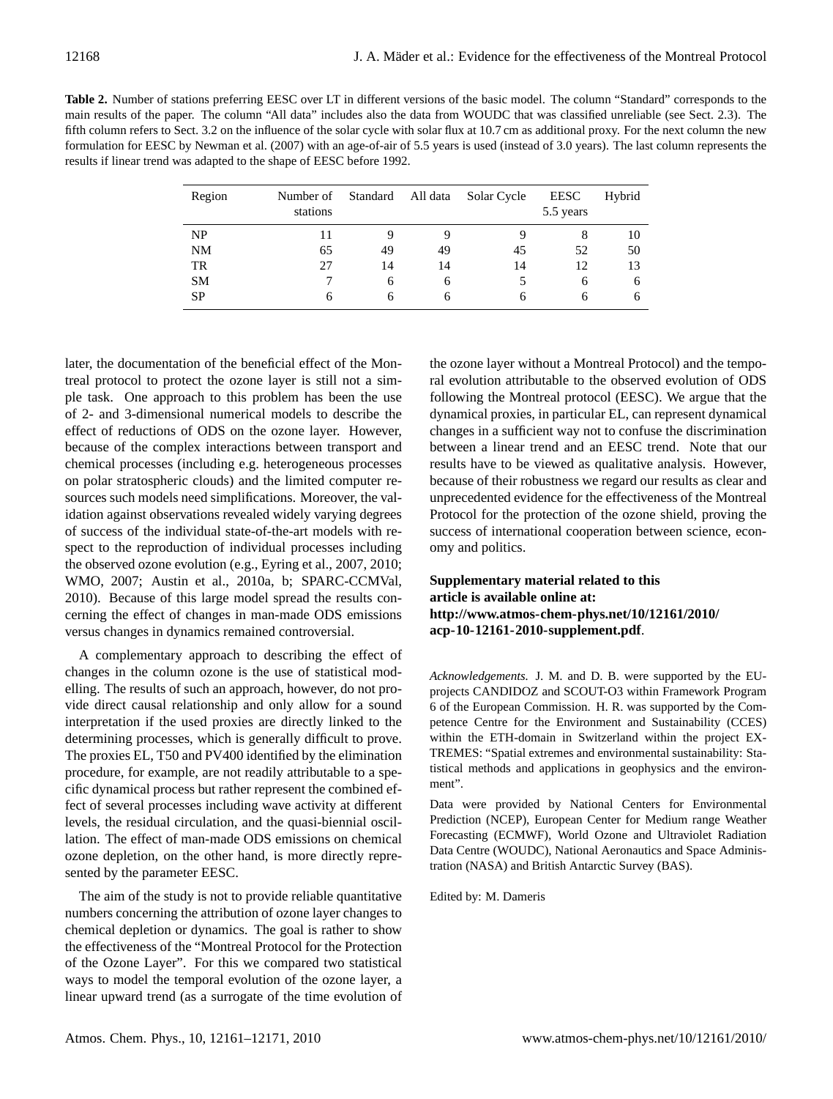**Table 2.** Number of stations preferring EESC over LT in different versions of the basic model. The column "Standard" corresponds to the main results of the paper. The column "All data" includes also the data from WOUDC that was classified unreliable (see Sect. 2.3). The fifth column refers to Sect. 3.2 on the influence of the solar cycle with solar flux at 10.7 cm as additional proxy. For the next column the new formulation for EESC by Newman et al. (2007) with an age-of-air of 5.5 years is used (instead of 3.0 years). The last column represents the results if linear trend was adapted to the shape of EESC before 1992.

| Region    | Number of<br>stations | Standard | All data | Solar Cycle | <b>EESC</b><br>5.5 years | Hybrid |
|-----------|-----------------------|----------|----------|-------------|--------------------------|--------|
| NP        |                       |          | 9        |             | 8                        | 10     |
| <b>NM</b> | 65                    | 49       | 49       | 45          | 52                       | 50     |
| TR        | 27                    | 14       | 14       | 14          | 12                       | 13     |
| <b>SM</b> |                       | 6        | 6        |             | 6                        | 6      |
| <b>SP</b> | h                     | h        | 6        | 6           | 6                        | 6      |

later, the documentation of the beneficial effect of the Montreal protocol to protect the ozone layer is still not a simple task. One approach to this problem has been the use of 2- and 3-dimensional numerical models to describe the effect of reductions of ODS on the ozone layer. However, because of the complex interactions between transport and chemical processes (including e.g. heterogeneous processes on polar stratospheric clouds) and the limited computer resources such models need simplifications. Moreover, the validation against observations revealed widely varying degrees of success of the individual state-of-the-art models with respect to the reproduction of individual processes including the observed ozone evolution (e.g., Eyring et al., 2007, 2010; WMO, 2007; Austin et al., 2010a, b; SPARC-CCMVal, 2010). Because of this large model spread the results concerning the effect of changes in man-made ODS emissions versus changes in dynamics remained controversial.

A complementary approach to describing the effect of changes in the column ozone is the use of statistical modelling. The results of such an approach, however, do not provide direct causal relationship and only allow for a sound interpretation if the used proxies are directly linked to the determining processes, which is generally difficult to prove. The proxies EL, T50 and PV400 identified by the elimination procedure, for example, are not readily attributable to a specific dynamical process but rather represent the combined effect of several processes including wave activity at different levels, the residual circulation, and the quasi-biennial oscillation. The effect of man-made ODS emissions on chemical ozone depletion, on the other hand, is more directly represented by the parameter EESC.

The aim of the study is not to provide reliable quantitative numbers concerning the attribution of ozone layer changes to chemical depletion or dynamics. The goal is rather to show the effectiveness of the "Montreal Protocol for the Protection of the Ozone Layer". For this we compared two statistical ways to model the temporal evolution of the ozone layer, a linear upward trend (as a surrogate of the time evolution of the ozone layer without a Montreal Protocol) and the temporal evolution attributable to the observed evolution of ODS following the Montreal protocol (EESC). We argue that the dynamical proxies, in particular EL, can represent dynamical changes in a sufficient way not to confuse the discrimination between a linear trend and an EESC trend. Note that our results have to be viewed as qualitative analysis. However, because of their robustness we regard our results as clear and unprecedented evidence for the effectiveness of the Montreal Protocol for the protection of the ozone shield, proving the success of international cooperation between science, economy and politics.

# **Supplementary material related to this article is available online at: [http://www.atmos-chem-phys.net/10/12161/2010/](http://www.atmos-chem-phys.net/10/12161/2010/acp-10-12161-2010-supplement.pdf) [acp-10-12161-2010-supplement.pdf](http://www.atmos-chem-phys.net/10/12161/2010/acp-10-12161-2010-supplement.pdf)**.

*Acknowledgements.* J. M. and D. B. were supported by the EUprojects CANDIDOZ and SCOUT-O3 within Framework Program 6 of the European Commission. H. R. was supported by the Competence Centre for the Environment and Sustainability (CCES) within the ETH-domain in Switzerland within the project EX-TREMES: "Spatial extremes and environmental sustainability: Statistical methods and applications in geophysics and the environment".

Data were provided by National Centers for Environmental Prediction (NCEP), European Center for Medium range Weather Forecasting (ECMWF), World Ozone and Ultraviolet Radiation Data Centre (WOUDC), National Aeronautics and Space Administration (NASA) and British Antarctic Survey (BAS).

Edited by: M. Dameris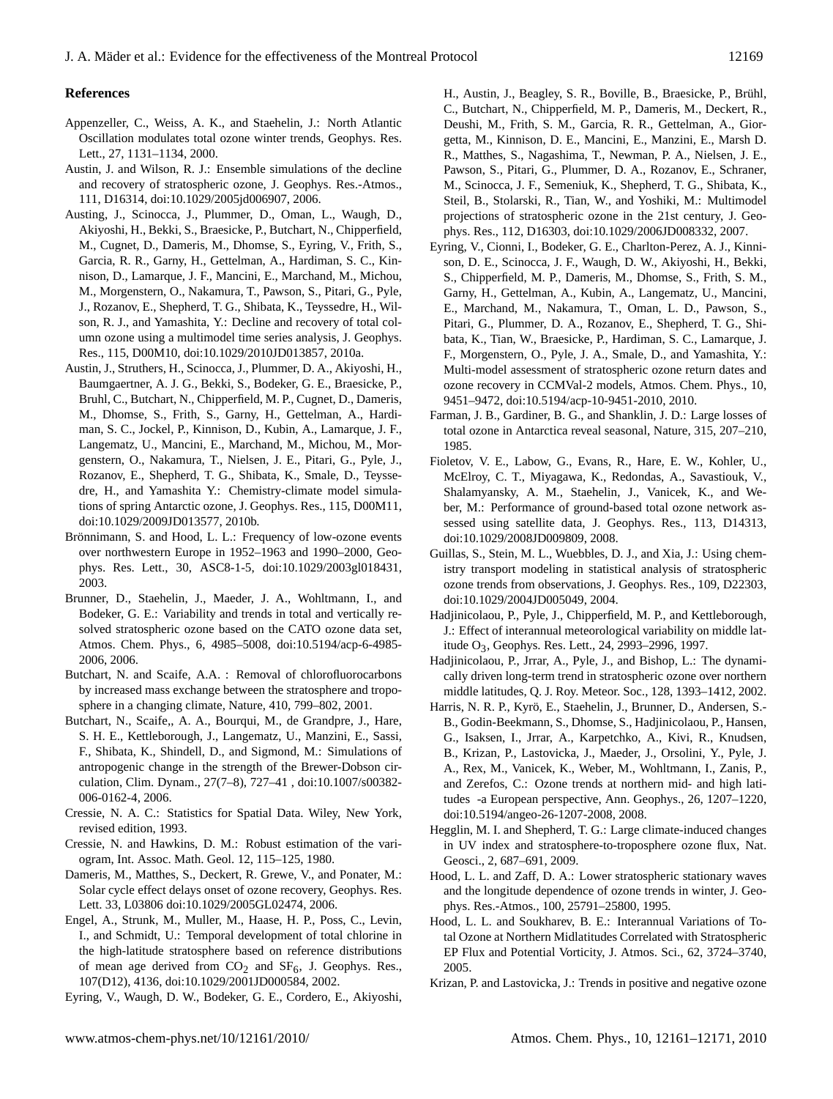## **References**

- Appenzeller, C., Weiss, A. K., and Staehelin, J.: North Atlantic Oscillation modulates total ozone winter trends, Geophys. Res. Lett., 27, 1131–1134, 2000.
- Austin, J. and Wilson, R. J.: Ensemble simulations of the decline and recovery of stratospheric ozone, J. Geophys. Res.-Atmos., 111, D16314, doi:10.1029/2005jd006907, 2006.
- Austing, J., Scinocca, J., Plummer, D., Oman, L., Waugh, D., Akiyoshi, H., Bekki, S., Braesicke, P., Butchart, N., Chipperfield, M., Cugnet, D., Dameris, M., Dhomse, S., Eyring, V., Frith, S., Garcia, R. R., Garny, H., Gettelman, A., Hardiman, S. C., Kinnison, D., Lamarque, J. F., Mancini, E., Marchand, M., Michou, M., Morgenstern, O., Nakamura, T., Pawson, S., Pitari, G., Pyle, J., Rozanov, E., Shepherd, T. G., Shibata, K., Teyssedre, H., Wilson, R. J., and Yamashita, Y.: Decline and recovery of total column ozone using a multimodel time series analysis, J. Geophys. Res., 115, D00M10, doi:10.1029/2010JD013857, 2010a.
- Austin, J., Struthers, H., Scinocca, J., Plummer, D. A., Akiyoshi, H., Baumgaertner, A. J. G., Bekki, S., Bodeker, G. E., Braesicke, P., Bruhl, C., Butchart, N., Chipperfield, M. P., Cugnet, D., Dameris, M., Dhomse, S., Frith, S., Garny, H., Gettelman, A., Hardiman, S. C., Jockel, P., Kinnison, D., Kubin, A., Lamarque, J. F., Langematz, U., Mancini, E., Marchand, M., Michou, M., Morgenstern, O., Nakamura, T., Nielsen, J. E., Pitari, G., Pyle, J., Rozanov, E., Shepherd, T. G., Shibata, K., Smale, D., Teyssedre, H., and Yamashita Y.: Chemistry-climate model simulations of spring Antarctic ozone, J. Geophys. Res., 115, D00M11, doi:10.1029/2009JD013577, 2010b.
- Brönnimann, S. and Hood, L. L.: Frequency of low-ozone events over northwestern Europe in 1952–1963 and 1990–2000, Geophys. Res. Lett., 30, ASC8-1-5, doi:10.1029/2003gl018431, 2003.
- Brunner, D., Staehelin, J., Maeder, J. A., Wohltmann, I., and Bodeker, G. E.: Variability and trends in total and vertically resolved stratospheric ozone based on the CATO ozone data set, Atmos. Chem. Phys., 6, 4985–5008, doi:10.5194/acp-6-4985- 2006, 2006.
- Butchart, N. and Scaife, A.A. : Removal of chlorofluorocarbons by increased mass exchange between the stratosphere and troposphere in a changing climate, Nature, 410, 799–802, 2001.
- Butchart, N., Scaife,, A. A., Bourqui, M., de Grandpre, J., Hare, S. H. E., Kettleborough, J., Langematz, U., Manzini, E., Sassi, F., Shibata, K., Shindell, D., and Sigmond, M.: Simulations of antropogenic change in the strength of the Brewer-Dobson circulation, Clim. Dynam., 27(7–8), 727–41 , doi:10.1007/s00382- 006-0162-4, 2006.
- Cressie, N. A. C.: Statistics for Spatial Data. Wiley, New York, revised edition, 1993.
- Cressie, N. and Hawkins, D. M.: Robust estimation of the variogram, Int. Assoc. Math. Geol. 12, 115–125, 1980.
- Dameris, M., Matthes, S., Deckert, R. Grewe, V., and Ponater, M.: Solar cycle effect delays onset of ozone recovery, Geophys. Res. Lett. 33, L03806 doi:10.1029/2005GL02474, 2006.
- Engel, A., Strunk, M., Muller, M., Haase, H. P., Poss, C., Levin, I., and Schmidt, U.: Temporal development of total chlorine in the high-latitude stratosphere based on reference distributions of mean age derived from  $CO<sub>2</sub>$  and  $SF<sub>6</sub>$ , J. Geophys. Res., 107(D12), 4136, doi:10.1029/2001JD000584, 2002.
- Eyring, V., Waugh, D. W., Bodeker, G. E., Cordero, E., Akiyoshi,

H., Austin, J., Beagley, S. R., Boville, B., Braesicke, P., Brühl, C., Butchart, N., Chipperfield, M. P., Dameris, M., Deckert, R., Deushi, M., Frith, S. M., Garcia, R. R., Gettelman, A., Giorgetta, M., Kinnison, D. E., Mancini, E., Manzini, E., Marsh D. R., Matthes, S., Nagashima, T., Newman, P. A., Nielsen, J. E., Pawson, S., Pitari, G., Plummer, D. A., Rozanov, E., Schraner, M., Scinocca, J. F., Semeniuk, K., Shepherd, T. G., Shibata, K., Steil, B., Stolarski, R., Tian, W., and Yoshiki, M.: Multimodel projections of stratospheric ozone in the 21st century, J. Geophys. Res., 112, D16303, doi:10.1029/2006JD008332, 2007.

- Eyring, V., Cionni, I., Bodeker, G. E., Charlton-Perez, A. J., Kinnison, D. E., Scinocca, J. F., Waugh, D. W., Akiyoshi, H., Bekki, S., Chipperfield, M. P., Dameris, M., Dhomse, S., Frith, S. M., Garny, H., Gettelman, A., Kubin, A., Langematz, U., Mancini, E., Marchand, M., Nakamura, T., Oman, L. D., Pawson, S., Pitari, G., Plummer, D. A., Rozanov, E., Shepherd, T. G., Shibata, K., Tian, W., Braesicke, P., Hardiman, S. C., Lamarque, J. F., Morgenstern, O., Pyle, J. A., Smale, D., and Yamashita, Y.: Multi-model assessment of stratospheric ozone return dates and ozone recovery in CCMVal-2 models, Atmos. Chem. Phys., 10, 9451–9472, doi:10.5194/acp-10-9451-2010, 2010.
- Farman, J. B., Gardiner, B. G., and Shanklin, J. D.: Large losses of total ozone in Antarctica reveal seasonal, Nature, 315, 207–210, 1985.
- Fioletov, V. E., Labow, G., Evans, R., Hare, E. W., Kohler, U., McElroy, C. T., Miyagawa, K., Redondas, A., Savastiouk, V., Shalamyansky, A. M., Staehelin, J., Vanicek, K., and Weber, M.: Performance of ground-based total ozone network assessed using satellite data, J. Geophys. Res., 113, D14313, doi:10.1029/2008JD009809, 2008.
- Guillas, S., Stein, M. L., Wuebbles, D. J., and Xia, J.: Using chemistry transport modeling in statistical analysis of stratospheric ozone trends from observations, J. Geophys. Res., 109, D22303, doi:10.1029/2004JD005049, 2004.
- Hadjinicolaou, P., Pyle, J., Chipperfield, M. P., and Kettleborough, J.: Effect of interannual meteorological variability on middle latitude O3, Geophys. Res. Lett., 24, 2993–2996, 1997.
- Hadjinicolaou, P., Jrrar, A., Pyle, J., and Bishop, L.: The dynamically driven long-term trend in stratospheric ozone over northern middle latitudes, Q. J. Roy. Meteor. Soc., 128, 1393–1412, 2002.
- Harris, N. R. P., Kyrö, E., Staehelin, J., Brunner, D., Andersen, S.-B., Godin-Beekmann, S., Dhomse, S., Hadjinicolaou, P., Hansen, G., Isaksen, I., Jrrar, A., Karpetchko, A., Kivi, R., Knudsen, B., Krizan, P., Lastovicka, J., Maeder, J., Orsolini, Y., Pyle, J. A., Rex, M., Vanicek, K., Weber, M., Wohltmann, I., Zanis, P., and Zerefos, C.: Ozone trends at northern mid- and high latitudes -a European perspective, Ann. Geophys., 26, 1207–1220, doi:10.5194/angeo-26-1207-2008, 2008.
- Hegglin, M. I. and Shepherd, T. G.: Large climate-induced changes in UV index and stratosphere-to-troposphere ozone flux, Nat. Geosci., 2, 687–691, 2009.
- Hood, L. L. and Zaff, D. A.: Lower stratospheric stationary waves and the longitude dependence of ozone trends in winter, J. Geophys. Res.-Atmos., 100, 25791–25800, 1995.
- Hood, L. L. and Soukharev, B. E.: Interannual Variations of Total Ozone at Northern Midlatitudes Correlated with Stratospheric EP Flux and Potential Vorticity, J. Atmos. Sci., 62, 3724–3740, 2005.
- Krizan, P. and Lastovicka, J.: Trends in positive and negative ozone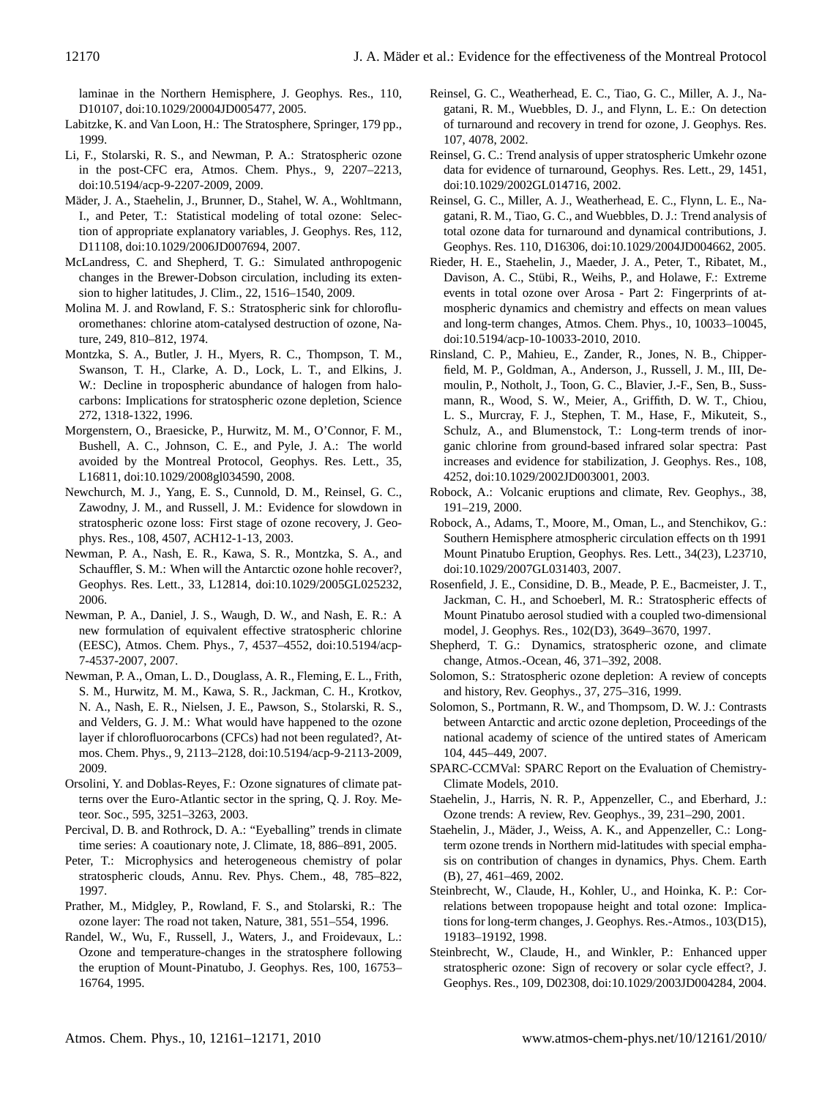laminae in the Northern Hemisphere, J. Geophys. Res., 110, D10107, doi:10.1029/20004JD005477, 2005.

- Labitzke, K. and Van Loon, H.: The Stratosphere, Springer, 179 pp., 1999.
- Li, F., Stolarski, R. S., and Newman, P. A.: Stratospheric ozone in the post-CFC era, Atmos. Chem. Phys., 9, 2207–2213, doi:10.5194/acp-9-2207-2009, 2009.
- Mäder, J. A., Staehelin, J., Brunner, D., Stahel, W. A., Wohltmann, I., and Peter, T.: Statistical modeling of total ozone: Selection of appropriate explanatory variables, J. Geophys. Res, 112, D11108, doi:10.1029/2006JD007694, 2007.
- McLandress, C. and Shepherd, T. G.: Simulated anthropogenic changes in the Brewer-Dobson circulation, including its extension to higher latitudes, J. Clim., 22, 1516–1540, 2009.
- Molina M. J. and Rowland, F. S.: Stratospheric sink for chlorofluoromethanes: chlorine atom-catalysed destruction of ozone, Nature, 249, 810–812, 1974.
- Montzka, S. A., Butler, J. H., Myers, R. C., Thompson, T. M., Swanson, T. H., Clarke, A. D., Lock, L. T., and Elkins, J. W.: Decline in tropospheric abundance of halogen from halocarbons: Implications for stratospheric ozone depletion, Science 272, 1318-1322, 1996.
- Morgenstern, O., Braesicke, P., Hurwitz, M. M., O'Connor, F. M., Bushell, A. C., Johnson, C. E., and Pyle, J. A.: The world avoided by the Montreal Protocol, Geophys. Res. Lett., 35, L16811, doi:10.1029/2008gl034590, 2008.
- Newchurch, M. J., Yang, E. S., Cunnold, D. M., Reinsel, G. C., Zawodny, J. M., and Russell, J. M.: Evidence for slowdown in stratospheric ozone loss: First stage of ozone recovery, J. Geophys. Res., 108, 4507, ACH12-1-13, 2003.
- Newman, P. A., Nash, E. R., Kawa, S. R., Montzka, S. A., and Schauffler, S. M.: When will the Antarctic ozone hohle recover?, Geophys. Res. Lett., 33, L12814, doi:10.1029/2005GL025232, 2006.
- Newman, P. A., Daniel, J. S., Waugh, D. W., and Nash, E. R.: A new formulation of equivalent effective stratospheric chlorine (EESC), Atmos. Chem. Phys., 7, 4537–4552, doi:10.5194/acp-7-4537-2007, 2007.
- Newman, P. A., Oman, L. D., Douglass, A. R., Fleming, E. L., Frith, S. M., Hurwitz, M. M., Kawa, S. R., Jackman, C. H., Krotkov, N. A., Nash, E. R., Nielsen, J. E., Pawson, S., Stolarski, R. S., and Velders, G. J. M.: What would have happened to the ozone layer if chlorofluorocarbons (CFCs) had not been regulated?, Atmos. Chem. Phys., 9, 2113–2128, doi:10.5194/acp-9-2113-2009, 2009.
- Orsolini, Y. and Doblas-Reyes, F.: Ozone signatures of climate patterns over the Euro-Atlantic sector in the spring, Q. J. Roy. Meteor. Soc., 595, 3251–3263, 2003.
- Percival, D. B. and Rothrock, D. A.: "Eyeballing" trends in climate time series: A coautionary note, J. Climate, 18, 886–891, 2005.
- Peter, T.: Microphysics and heterogeneous chemistry of polar stratospheric clouds, Annu. Rev. Phys. Chem., 48, 785–822, 1997.
- Prather, M., Midgley, P., Rowland, F. S., and Stolarski, R.: The ozone layer: The road not taken, Nature, 381, 551–554, 1996.
- Randel, W., Wu, F., Russell, J., Waters, J., and Froidevaux, L.: Ozone and temperature-changes in the stratosphere following the eruption of Mount-Pinatubo, J. Geophys. Res, 100, 16753– 16764, 1995.
- Reinsel, G. C., Weatherhead, E. C., Tiao, G. C., Miller, A. J., Nagatani, R. M., Wuebbles, D. J., and Flynn, L. E.: On detection of turnaround and recovery in trend for ozone, J. Geophys. Res. 107, 4078, 2002.
- Reinsel, G. C.: Trend analysis of upper stratospheric Umkehr ozone data for evidence of turnaround, Geophys. Res. Lett., 29, 1451, doi:10.1029/2002GL014716, 2002.
- Reinsel, G. C., Miller, A. J., Weatherhead, E. C., Flynn, L. E., Nagatani, R. M., Tiao, G. C., and Wuebbles, D. J.: Trend analysis of total ozone data for turnaround and dynamical contributions, J. Geophys. Res. 110, D16306, doi:10.1029/2004JD004662, 2005.
- Rieder, H. E., Staehelin, J., Maeder, J. A., Peter, T., Ribatet, M., Davison, A. C., Stübi, R., Weihs, P., and Holawe, F.: Extreme events in total ozone over Arosa - Part 2: Fingerprints of atmospheric dynamics and chemistry and effects on mean values and long-term changes, Atmos. Chem. Phys., 10, 10033–10045, doi:10.5194/acp-10-10033-2010, 2010.
- Rinsland, C. P., Mahieu, E., Zander, R., Jones, N. B., Chipperfield, M. P., Goldman, A., Anderson, J., Russell, J. M., III, Demoulin, P., Notholt, J., Toon, G. C., Blavier, J.-F., Sen, B., Sussmann, R., Wood, S. W., Meier, A., Griffith, D. W. T., Chiou, L. S., Murcray, F. J., Stephen, T. M., Hase, F., Mikuteit, S., Schulz, A., and Blumenstock, T.: Long-term trends of inorganic chlorine from ground-based infrared solar spectra: Past increases and evidence for stabilization, J. Geophys. Res., 108, 4252, doi:10.1029/2002JD003001, 2003.
- Robock, A.: Volcanic eruptions and climate, Rev. Geophys., 38, 191–219, 2000.
- Robock, A., Adams, T., Moore, M., Oman, L., and Stenchikov, G.: Southern Hemisphere atmospheric circulation effects on th 1991 Mount Pinatubo Eruption, Geophys. Res. Lett., 34(23), L23710, doi:10.1029/2007GL031403, 2007.
- Rosenfield, J. E., Considine, D. B., Meade, P. E., Bacmeister, J. T., Jackman, C. H., and Schoeberl, M. R.: Stratospheric effects of Mount Pinatubo aerosol studied with a coupled two-dimensional model, J. Geophys. Res., 102(D3), 3649–3670, 1997.
- Shepherd, T. G.: Dynamics, stratospheric ozone, and climate change, Atmos.-Ocean, 46, 371–392, 2008.
- Solomon, S.: Stratospheric ozone depletion: A review of concepts and history, Rev. Geophys., 37, 275–316, 1999.
- Solomon, S., Portmann, R. W., and Thompsom, D. W. J.: Contrasts between Antarctic and arctic ozone depletion, Proceedings of the national academy of science of the untired states of Americam 104, 445–449, 2007.
- SPARC-CCMVal: SPARC Report on the Evaluation of Chemistry-Climate Models, 2010.
- Staehelin, J., Harris, N. R. P., Appenzeller, C., and Eberhard, J.: Ozone trends: A review, Rev. Geophys., 39, 231–290, 2001.
- Staehelin, J., Mäder, J., Weiss, A. K., and Appenzeller, C.: Longterm ozone trends in Northern mid-latitudes with special emphasis on contribution of changes in dynamics, Phys. Chem. Earth (B), 27, 461–469, 2002.
- Steinbrecht, W., Claude, H., Kohler, U., and Hoinka, K. P.: Correlations between tropopause height and total ozone: Implications for long-term changes, J. Geophys. Res.-Atmos., 103(D15), 19183–19192, 1998.
- Steinbrecht, W., Claude, H., and Winkler, P.: Enhanced upper stratospheric ozone: Sign of recovery or solar cycle effect?, J. Geophys. Res., 109, D02308, doi:10.1029/2003JD004284, 2004.